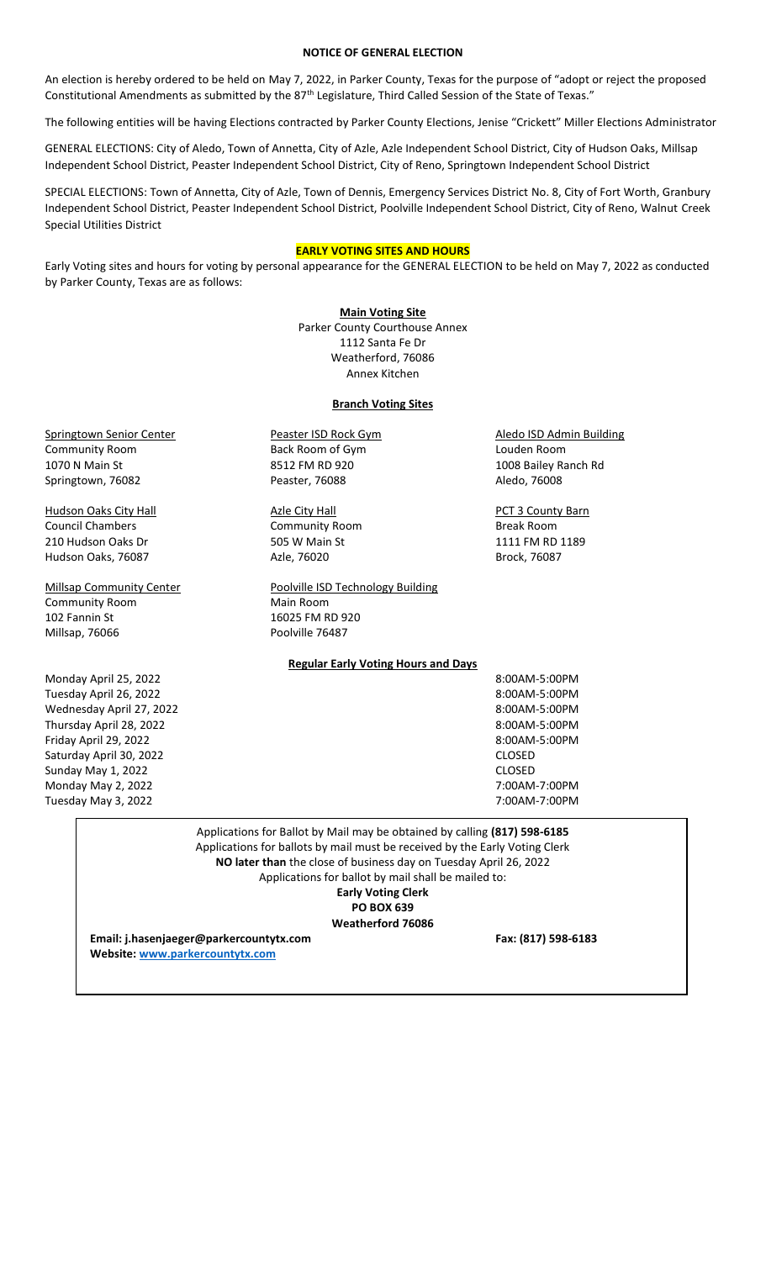# **NOTICE OF GENERAL ELECTION**

An election is hereby ordered to be held on May 7, 2022, in Parker County, Texas for the purpose of "adopt or reject the proposed Constitutional Amendments as submitted by the 87th Legislature, Third Called Session of the State of Texas."

The following entities will be having Elections contracted by Parker County Elections, Jenise "Crickett" Miller Elections Administrator

GENERAL ELECTIONS: City of Aledo, Town of Annetta, City of Azle, Azle Independent School District, City of Hudson Oaks, Millsap Independent School District, Peaster Independent School District, City of Reno, Springtown Independent School District

SPECIAL ELECTIONS: Town of Annetta, City of Azle, Town of Dennis, Emergency Services District No. 8, City of Fort Worth, Granbury Independent School District, Peaster Independent School District, Poolville Independent School District, City of Reno, Walnut Creek Special Utilities District

## **EARLY VOTING SITES AND HOURS**

Early Voting sites and hours for voting by personal appearance for the GENERAL ELECTION to be held on May 7, 2022 as conducted by Parker County, Texas are as follows:

> **Main Voting Site**  Parker County Courthouse Annex 1112 Santa Fe Dr Weatherford, 76086 Annex Kitchen

## **Branch Voting Sites**

Springtown Senior Center **Peaster ISD Rock Gym** Aledo ISD Admin Building Community Room Back Room of Gym Louden Room Springtown, 76082 **Peaster, 76088** Peaster, 76088 Aledo, 76008

Council Chambers **Community Room** Break Room **Break Room** 210 Hudson Oaks Dr 505 W Main St 1111 FM RD 1189 Hudson Oaks, 76087 **Azle, 76020** Brock, 76087

Millsap Community Center **Poolville ISD Technology Building** 

1070 N Main St 8512 FM RD 920 1008 Bailey Ranch Rd

Hudson Oaks City Hall **Azle City Hall** Azie City Hall **Azle City Hall** PCT 3 County Barn

Monday April 25, 2022 8:00AM-5:00PM Tuesday April 26, 2022 8:00AM-5:00PM Wednesday April 27, 2022 8:00AM-5:00PM Thursday April 28, 2022 8:00AM-5:00PM Friday April 29, 2022 8:00AM-5:00PM Saturday April 30, 2022 CLOSED And The Saturday April 30, 2022 Sunday May 1, 2022 **CLOSED** Monday May 2, 2022 7:00AM-7:00PM Tuesday May 3, 2022 7:00AM-7:00PM

Community Room Main Room 102 Fannin St 16025 FM RD 920 Millsap, 76066 **Poolville 76487** 

**Regular Early Voting Hours and Days**

Applications for Ballot by Mail may be obtained by calling **(817) 598-6185** Applications for ballots by mail must be received by the Early Voting Clerk **NO later than** the close of business day on Tuesday April 26, 2022 Applications for ballot by mail shall be mailed to: **Early Voting Clerk PO BOX 639 Weatherford 76086**

**Email: j.hasenjaeger@parkercountytx.com Fax: (817) 598-6183 Website[: www.parkercountytx.com](http://www.parkercountytx.com/)**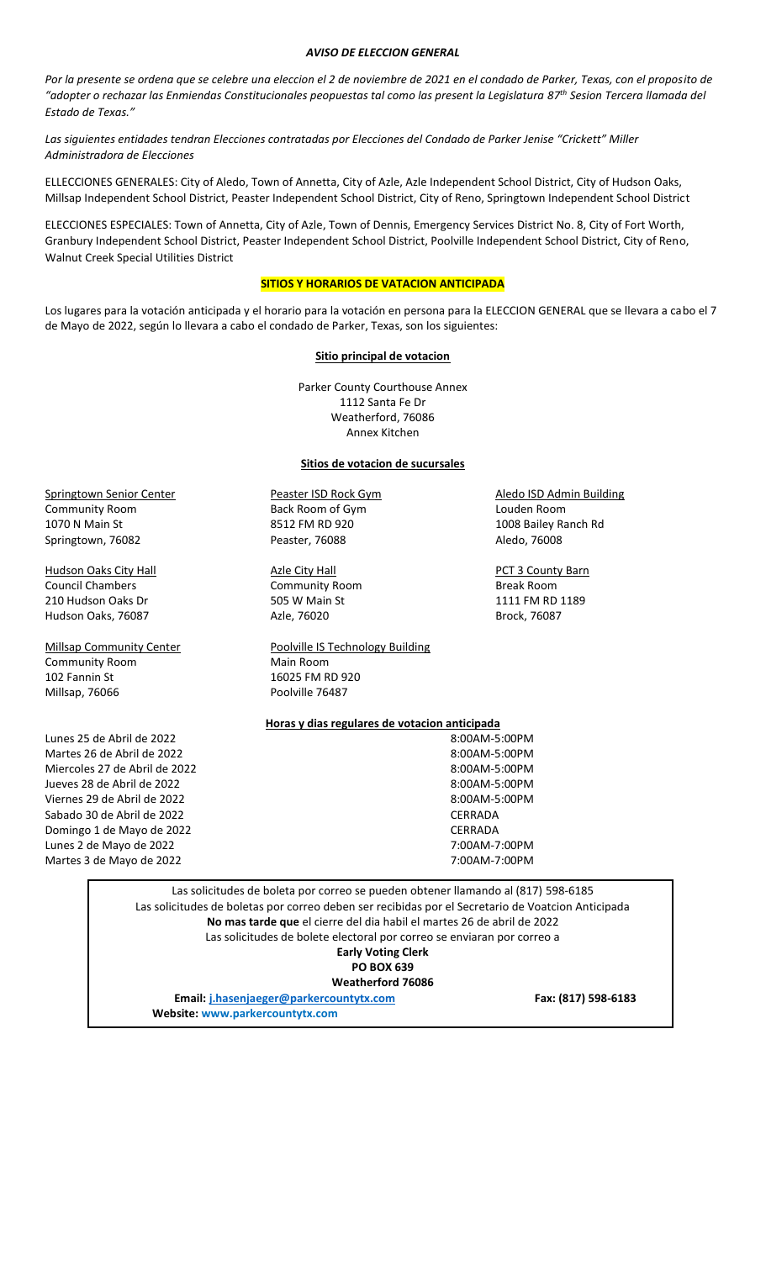#### *AVISO DE ELECCION GENERAL*

Por la presente se ordena que se celebre una eleccion el 2 de noviembre de 2021 en el condado de Parker, Texas, con el proposito de *"adopter o rechazar las Enmiendas Constitucionales peopuestas tal como las present la Legislatura 87th Sesion Tercera llamada del Estado de Texas."*

*Las siguientes entidades tendran Elecciones contratadas por Elecciones del Condado de Parker Jenise "Crickett" Miller Administradora de Elecciones*

ELLECCIONES GENERALES: City of Aledo, Town of Annetta, City of Azle, Azle Independent School District, City of Hudson Oaks, Millsap Independent School District, Peaster Independent School District, City of Reno, Springtown Independent School District

ELECCIONES ESPECIALES: Town of Annetta, City of Azle, Town of Dennis, Emergency Services District No. 8, City of Fort Worth, Granbury Independent School District, Peaster Independent School District, Poolville Independent School District, City of Reno, Walnut Creek Special Utilities District

### **SITIOS Y HORARIOS DE VATACION ANTICIPADA**

Los lugares para la votación anticipada y el horario para la votación en persona para la ELECCION GENERAL que se llevara a cabo el 7 de Mayo de 2022, según lo llevara a cabo el condado de Parker, Texas, son los siguientes:

### **Sitio principal de votacion**

Parker County Courthouse Annex 1112 Santa Fe Dr Weatherford, 76086 Annex Kitchen

#### **Sitios de votacion de sucursales**

Springtown Senior Center **Peaster ISD Rock Gym** Aledo ISD Admin Building Community Room Back Room of Gym Louden Room 1070 N Main St 8512 FM RD 920 1008 Bailey Ranch Rd Springtown, 76082 **Peaster, 76088** Aledo, 76008

Hudson Oaks City Hall **Azle City Hall** Azie City Hall **PCT 3 County Barn** Council Chambers **Community Room** Break Room 210 Hudson Oaks Dr **505 W Main St** 1111 FM RD 1189 Hudson Oaks, 76087 **Azle, 76020** Brock, 76087

Community Room Main Room 102 Fannin St 16025 FM RD 920 Millsap, 76066 **Poolville 76487** 

Lunes 25 de Abril de 2022 **8:00AM-5:00PM** Martes 26 de Abril de 2022 8:00AM-5:00PM Miercoles 27 de Abril de 2022 8:00AM-5:00PM Jueves 28 de Abril de 2022 8:00AM-5:00PM Viernes 29 de Abril de 2022 8:00AM-5:00PM Sabado 30 de Abril de 2022 CERRADA Domingo 1 de Mayo de 2022 CERRADA Lunes 2 de Mayo de 2022 7:00AM-7:00PM Martes 3 de Mayo de 2022 7:00AM-7:00PM

Millsap Community Center **Poolville IS Technology Building** 

**Horas y dias regulares de votacion anticipada**

Las solicitudes de boleta por correo se pueden obtener llamando al (817) 598-6185 Las solicitudes de boletas por correo deben ser recibidas por el Secretario de Voatcion Anticipada **No mas tarde que** el cierre del dia habil el martes 26 de abril de 2022 Las solicitudes de bolete electoral por correo se enviaran por correo a **Early Voting Clerk PO BOX 639 Weatherford 76086 Email: [j.hasenjaeger@parkercountytx.com](mailto:j.hasenjaeger@parkercountytx.com) Fax: (817) 598-6183 Website: www.parkercountytx.com**